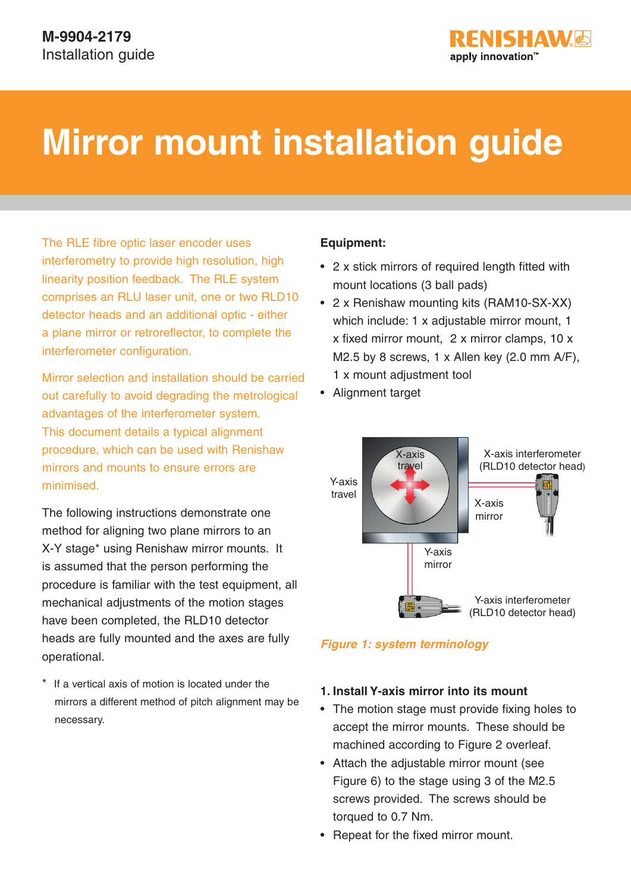

# **Mirror mount installation guide**

The RLE fibre optic laser encoder uses interferometry to provide high resolution, high linearity position feedback. The RLE system comprises an RLU laser unit, one or two RLD10 detector heads and an additional optic - either a plane mirror or retroreflector, to complete the interferometer configuration.

Mirror selection and installation should be carried out carefully to avoid degrading the metrological advantages of the interferometer system. This document details a typical alignment procedure, which can be used with Renishaw mirrors and mounts to ensure errors are minimised.

The following instructions demonstrate one method for aligning two plane mirrors to an X-Y stage\* using Renishaw mirror mounts. It is assumed that the person performing the procedure is familiar with the test equipment, all mechanical adjustments of the motion stages have been completed, the RLD10 detector heads are fully mounted and the axes are fully operational.

\* If a vertical axis of motion is located under the mirrors a different method of pitch alignment may be necessary.

## **Equipment:**

- 2 x stick mirrors of required length fitted with mount locations (3 ball pads)
- 2 x Renishaw mounting kits (RAM10-SX-XX) which include: 1 x adjustable mirror mount, 1 x fixed mirror mount, 2 x mirror clamps, 10 x M2.5 by 8 screws, 1 x Allen key (2.0 mm A/F). 1 x mount adjustment tool
- Alignment target





### **1. Install Y-axis mirror into its mount**

- The motion stage must provide fixing holes to accept the mirror mounts. These should be machined according to Figure 2 overleaf.
- Attach the adjustable mirror mount (see Figure 6) to the stage using 3 of the M2.5 screws provided. The screws should be torqued to 0.7 Nm.
- Repeat for the fixed mirror mount.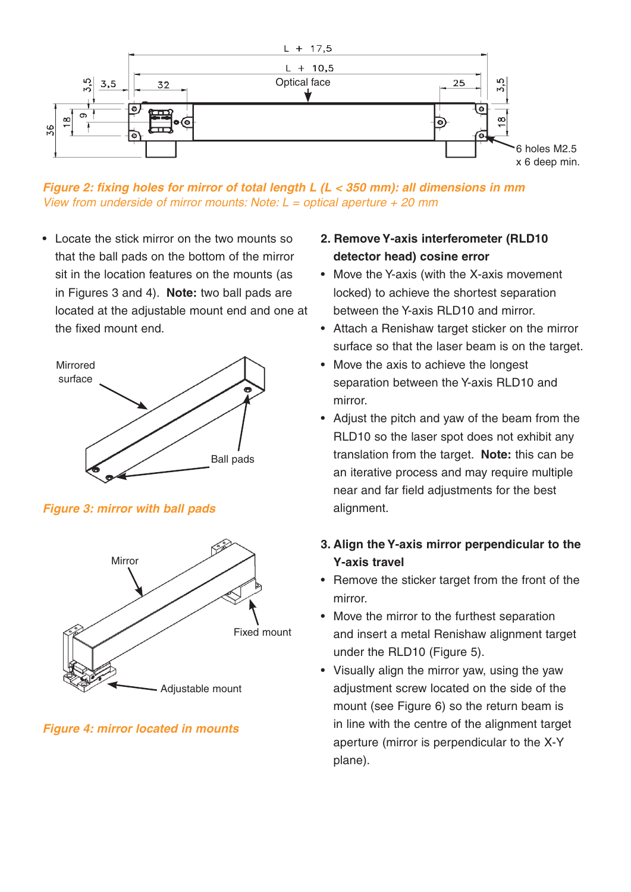

*Figure 2: fixing holes for mirror of total length L (L < 350 mm): all dimensions in mm View from underside of mirror mounts: Note: L = optical aperture + 20 mm*

• Locate the stick mirror on the two mounts so that the ball pads on the bottom of the mirror sit in the location features on the mounts (as in Figures 3 and 4). **Note:** two ball pads are located at the adjustable mount end and one at the fixed mount end.



*Figure 3: mirror with ball pads*



*Figure 4: mirror located in mounts*

## **2. Remove Y-axis interferometer (RLD10 detector head) cosine error**

- Move the Y-axis (with the X-axis movement locked) to achieve the shortest separation between the Y-axis RLD10 and mirror.
- Attach a Renishaw target sticker on the mirror surface so that the laser beam is on the target.
- Move the axis to achieve the longest separation between the Y-axis RLD10 and mirror.
- Adjust the pitch and yaw of the beam from the RLD10 so the laser spot does not exhibit any translation from the target. **Note:** this can be an iterative process and may require multiple near and far field adjustments for the best alignment.

## **3. Align the Y-axis mirror perpendicular to the Y-axis travel**

- Remove the sticker target from the front of the mirror.
- Move the mirror to the furthest separation and insert a metal Renishaw alignment target under the RLD10 (Figure 5).
- Visually align the mirror yaw, using the yaw adjustment screw located on the side of the mount (see Figure 6) so the return beam is in line with the centre of the alignment target aperture (mirror is perpendicular to the X-Y plane).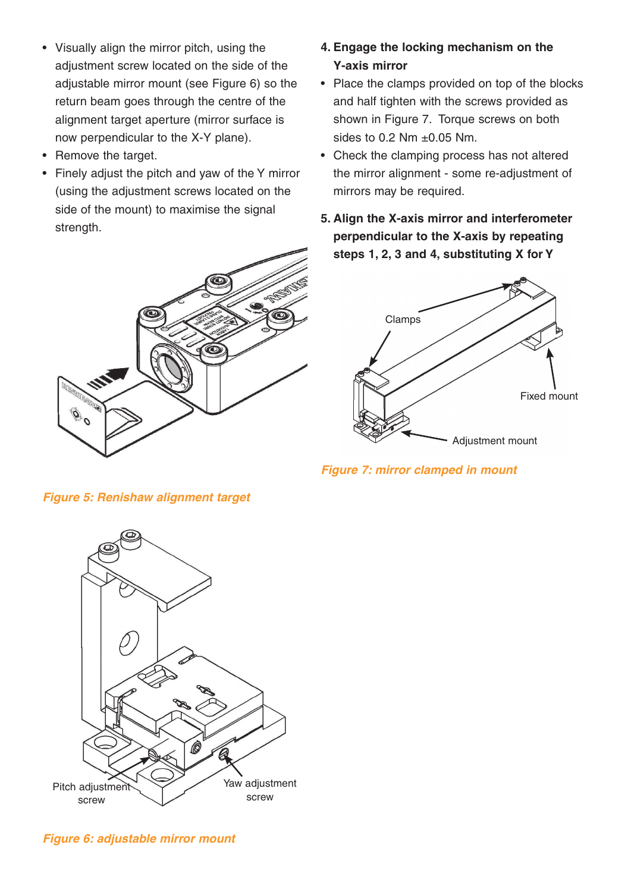- Visually align the mirror pitch, using the adjustment screw located on the side of the adjustable mirror mount (see Figure 6) so the return beam goes through the centre of the alignment target aperture (mirror surface is now perpendicular to the X-Y plane).
- Remove the target.
- Finely adjust the pitch and yaw of the Y mirror (using the adjustment screws located on the side of the mount) to maximise the signal strength.



## **4. Engage the locking mechanism on the Y-axis mirror**

- Place the clamps provided on top of the blocks and half tighten with the screws provided as shown in Figure 7. Torque screws on both sides to 0.2 Nm ±0.05 Nm.
- Check the clamping process has not altered the mirror alignment - some re-adjustment of mirrors may be required.
- **5. Align the X-axis mirror and interferometer perpendicular to the X-axis by repeating steps 1, 2, 3 and 4, substituting X for Y**



*Figure 7: mirror clamped in mount*

*Figure 5: Renishaw alignment target*



*Figure 6: adjustable mirror mount*